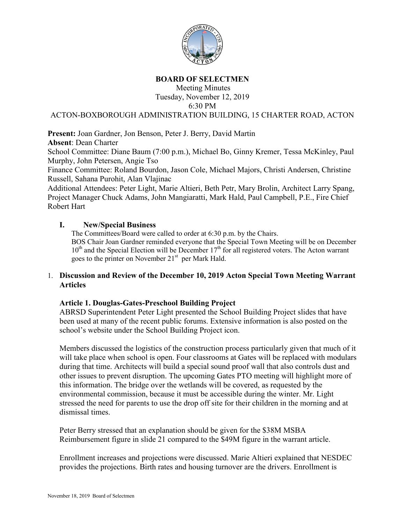

#### **BOARD OF SELECTMEN**

Meeting Minutes Tuesday, November 12, 2019 6:30 PM

ACTON-BOXBOROUGH ADMINISTRATION BUILDING, 15 CHARTER ROAD, ACTON

**Present:** Joan Gardner, Jon Benson, Peter J. Berry, David Martin

**Absent**: Dean Charter

School Committee: Diane Baum (7:00 p.m.), Michael Bo, Ginny Kremer, Tessa McKinley, Paul Murphy, John Petersen, Angie Tso

Finance Committee: Roland Bourdon, Jason Cole, Michael Majors, Christi Andersen, Christine Russell, Sahana Purohit, Alan Vlajinac

Additional Attendees: Peter Light, Marie Altieri, Beth Petr, Mary Brolin, Architect Larry Spang, Project Manager Chuck Adams, John Mangiaratti, Mark Hald, Paul Campbell, P.E., Fire Chief Robert Hart

#### **I. New/Special Business**

The Committees/Board were called to order at 6:30 p.m. by the Chairs. BOS Chair Joan Gardner reminded everyone that the Special Town Meeting will be on December  $10<sup>th</sup>$  and the Special Election will be December  $17<sup>th</sup>$  for all registered voters. The Acton warrant goes to the printer on November  $21<sup>st</sup>$  per Mark Hald.

#### 1. **Discussion and Review of the December 10, 2019 Acton Special Town Meeting Warrant Articles**

## **Article 1. Douglas-Gates-Preschool Building Project**

ABRSD Superintendent Peter Light presented the School Building Project slides that have been used at many of the recent public forums. Extensive information is also posted on the school's website under the School Building Project icon.

Members discussed the logistics of the construction process particularly given that much of it will take place when school is open. Four classrooms at Gates will be replaced with modulars during that time. Architects will build a special sound proof wall that also controls dust and other issues to prevent disruption. The upcoming Gates PTO meeting will highlight more of this information. The bridge over the wetlands will be covered, as requested by the environmental commission, because it must be accessible during the winter. Mr. Light stressed the need for parents to use the drop off site for their children in the morning and at dismissal times.

Peter Berry stressed that an explanation should be given for the \$38M MSBA Reimbursement figure in slide 21 compared to the \$49M figure in the warrant article.

Enrollment increases and projections were discussed. Marie Altieri explained that NESDEC provides the projections. Birth rates and housing turnover are the drivers. Enrollment is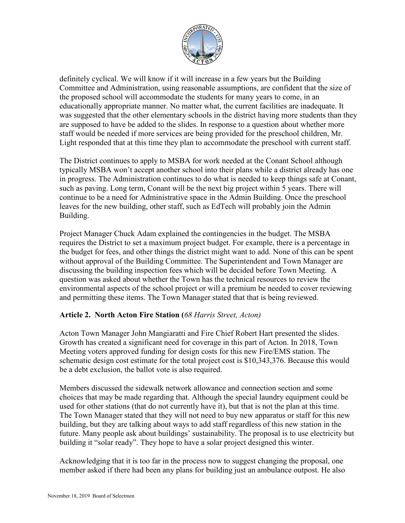

definitely cyclical. We will know if it will increase in a few years but the Building Committee and Administration, using reasonable assumptions, are confident that the size of the proposed school will accommodate the students for many years to come, in an educationally appropriate manner. No matter what, the current facilities are inadequate. It was suggested that the other elementary schools in the district having more students than they are supposed to have be added to the slides. In response to a question about whether more staff would be needed if more services are being provided for the preschool children, Mr. Light responded that at this time they plan to accommodate the preschool with current staff.

The District continues to apply to MSBA for work needed at the Conant School although typically MSBA won't accept another school into their plans while a district already has one in progress. The Administration continues to do what is needed to keep things safe at Conant, such as paving. Long term, Conant will be the next big project within 5 years. There will continue to be a need for Administrative space in the Admin Building. Once the preschool leaves for the new building, other staff, such as EdTech will probably join the Admin Building.

Project Manager Chuck Adam explained the contingencies in the budget. The MSBA requires the District to set a maximum project budget. For example, there is a percentage in the budget for fees, and other things the district might want to add. None of this can be spent without approval of the Building Committee. The Superintendent and Town Manager are discussing the building inspection fees which will be decided before Town Meeting. A question was asked about whether the Town has the technical resources to review the environmental aspects of the school project or will a premium be needed to cover reviewing and permitting these items. The Town Manager stated that that is being reviewed.

## **Article 2. North Acton Fire Station (***68 Harris Street, Acton)*

Acton Town Manager John Mangiaratti and Fire Chief Robert Hart presented the slides. Growth has created a significant need for coverage in this part of Acton. In 2018, Town Meeting voters approved funding for design costs for this new Fire/EMS station. The schematic design cost estimate for the total project cost is \$10,343,376. Because this would be a debt exclusion, the ballot vote is also required.

Members discussed the sidewalk network allowance and connection section and some choices that may be made regarding that. Although the special laundry equipment could be used for other stations (that do not currently have it), but that is not the plan at this time. The Town Manager stated that they will not need to buy new apparatus or staff for this new building, but they are talking about ways to add staff regardless of this new station in the future. Many people ask about buildings' sustainability. The proposal is to use electricity but building it "solar ready". They hope to have a solar project designed this winter.

Acknowledging that it is too far in the process now to suggest changing the proposal, one member asked if there had been any plans for building just an ambulance outpost. He also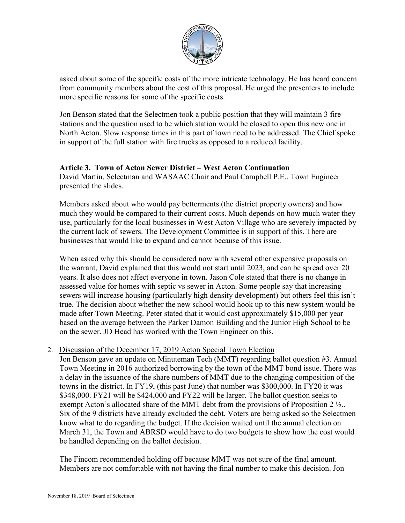

asked about some of the specific costs of the more intricate technology. He has heard concern from community members about the cost of this proposal. He urged the presenters to include more specific reasons for some of the specific costs.

Jon Benson stated that the Selectmen took a public position that they will maintain 3 fire stations and the question used to be which station would be closed to open this new one in North Acton. Slow response times in this part of town need to be addressed. The Chief spoke in support of the full station with fire trucks as opposed to a reduced facility.

#### **Article 3. Town of Acton Sewer District – West Acton Continuation**

David Martin, Selectman and WASAAC Chair and Paul Campbell P.E., Town Engineer presented the slides.

Members asked about who would pay betterments (the district property owners) and how much they would be compared to their current costs. Much depends on how much water they use, particularly for the local businesses in West Acton Village who are severely impacted by the current lack of sewers. The Development Committee is in support of this. There are businesses that would like to expand and cannot because of this issue.

When asked why this should be considered now with several other expensive proposals on the warrant, David explained that this would not start until 2023, and can be spread over 20 years. It also does not affect everyone in town. Jason Cole stated that there is no change in assessed value for homes with septic vs sewer in Acton. Some people say that increasing sewers will increase housing (particularly high density development) but others feel this isn't true. The decision about whether the new school would hook up to this new system would be made after Town Meeting. Peter stated that it would cost approximately \$15,000 per year based on the average between the Parker Damon Building and the Junior High School to be on the sewer. JD Head has worked with the Town Engineer on this.

#### 2. Discussion of the December 17, 2019 Acton Special Town Election

Jon Benson gave an update on Minuteman Tech (MMT) regarding ballot question #3. Annual Town Meeting in 2016 authorized borrowing by the town of the MMT bond issue. There was a delay in the issuance of the share numbers of MMT due to the changing composition of the towns in the district. In FY19, (this past June) that number was \$300,000. In FY20 it was \$348,000. FY21 will be \$424,000 and FY22 will be larger. The ballot question seeks to exempt Acton's allocated share of the MMT debt from the provisions of Proposition 2  $\frac{1}{2}$ . Six of the 9 districts have already excluded the debt. Voters are being asked so the Selectmen know what to do regarding the budget. If the decision waited until the annual election on March 31, the Town and ABRSD would have to do two budgets to show how the cost would be handled depending on the ballot decision.

The Fincom recommended holding off because MMT was not sure of the final amount. Members are not comfortable with not having the final number to make this decision. Jon